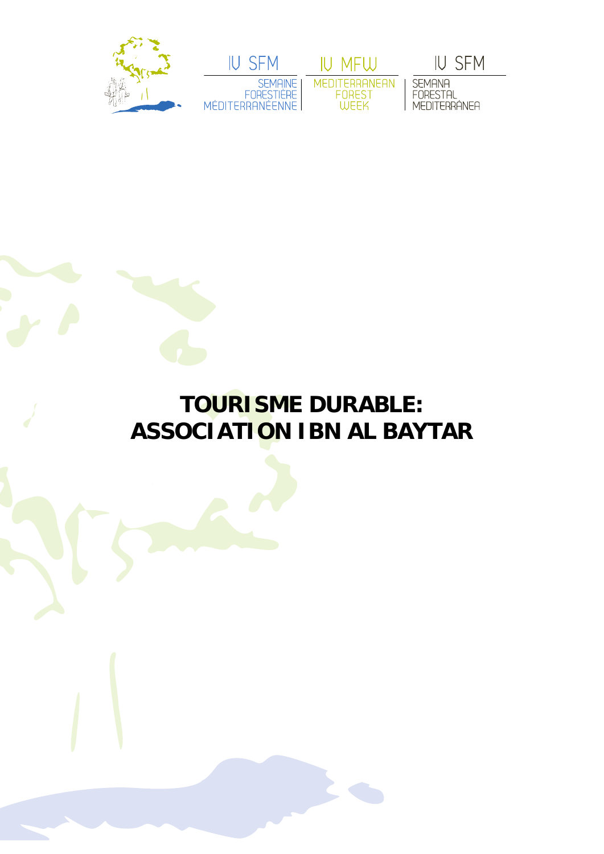



IU MFW MEDITERRANEAN<br>FOREST<br>WEEK

**IU SFM** 

SEMANA<br>FORESTAL<br>MEDITERRÁNEA

## **TOURISME DURABLE: ASSOCIATION IBN AL BAYTAR**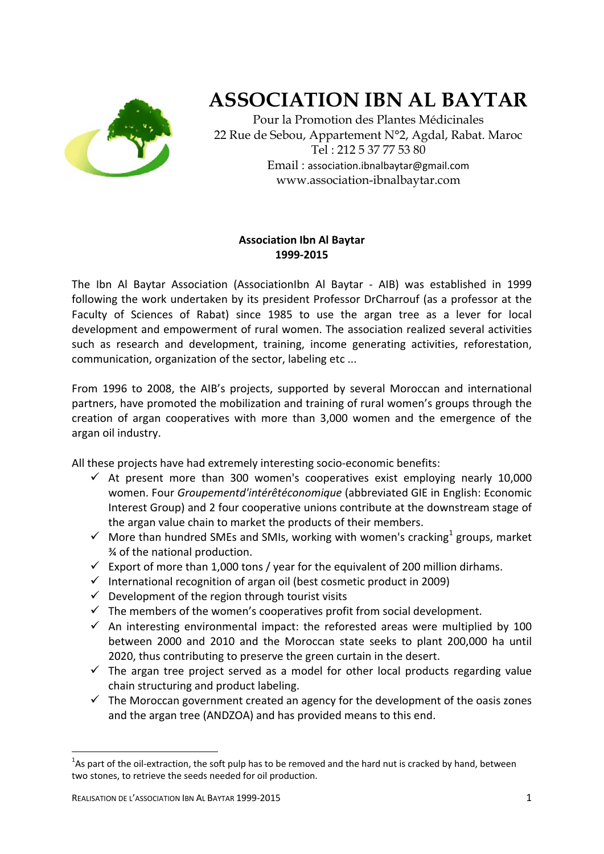

## **ASSOCIATION IBN AL BAYTAR**

Pour la Promotion des Plantes Médicinales 22 Rue de Sebou, Appartement N°2, Agdal, Rabat. Maroc Tel : 212 5 37 77 53 80 Email : association.ibnalbaytar@gmail.com www.association-ibnalbaytar.com

## **Association Ibn Al Baytar 1999‐2015**

The Ibn Al Baytar Association (AssociationIbn Al Baytar ‐ AIB) was established in 1999 following the work undertaken by its president Professor DrCharrouf (as a professor at the Faculty of Sciences of Rabat) since 1985 to use the argan tree as a lever for local development and empowerment of rural women. The association realized several activities such as research and development, training, income generating activities, reforestation, communication, organization of the sector, labeling etc ...

From 1996 to 2008, the AIB's projects, supported by several Moroccan and international partners, have promoted the mobilization and training of rural women's groups through the creation of argan cooperatives with more than 3,000 women and the emergence of the argan oil industry.

All these projects have had extremely interesting socio‐economic benefits:

- $\checkmark$  At present more than 300 women's cooperatives exist employing nearly 10,000 women. Four *Groupementd'intérêtéconomique* (abbreviated GIE in English: Economic Interest Group) and 2 four cooperative unions contribute at the downstream stage of the argan value chain to market the products of their members.
- $\checkmark$  More than hundred SMEs and SMIs, working with women's cracking<sup>1</sup> groups, market ¾ of the national production.
- Export of more than 1,000 tons / year for the equivalent of 200 million dirhams.
- $\checkmark$  International recognition of argan oil (best cosmetic product in 2009)
- $\checkmark$  Development of the region through tourist visits
- $\checkmark$  The members of the women's cooperatives profit from social development.
- $\checkmark$  An interesting environmental impact: the reforested areas were multiplied by 100 between 2000 and 2010 and the Moroccan state seeks to plant 200,000 ha until 2020, thus contributing to preserve the green curtain in the desert.
- $\checkmark$  The argan tree project served as a model for other local products regarding value chain structuring and product labeling.
- $\checkmark$  The Moroccan government created an agency for the development of the oasis zones and the argan tree (ANDZOA) and has provided means to this end.

 <sup>1</sup>As part of the oil-extraction, the soft pulp has to be removed and the hard nut is cracked by hand, between two stones, to retrieve the seeds needed for oil production.